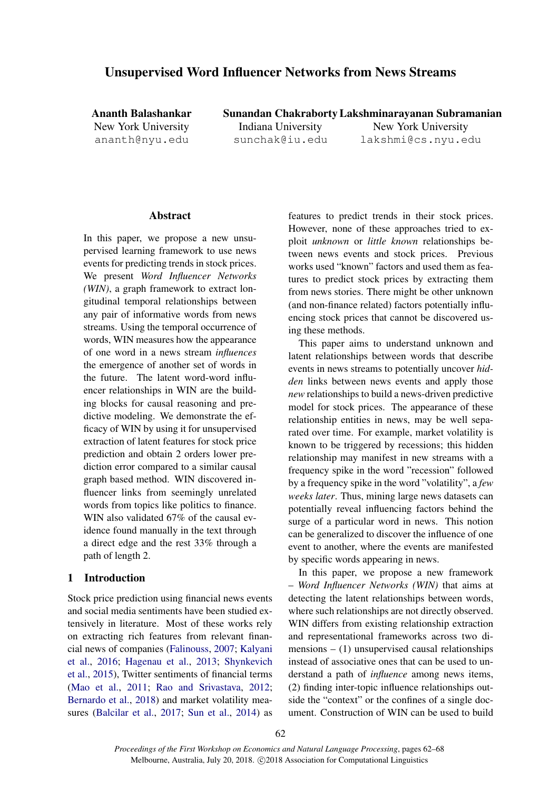# Unsupervised Word Influencer Networks from News Streams

Ananth Balashankar New York University ananth@nyu.edu

Sunandan Chakraborty Lakshminarayanan Subramanian

Indiana University sunchak@iu.edu

New York University lakshmi@cs.nyu.edu

### Abstract

In this paper, we propose a new unsupervised learning framework to use news events for predicting trends in stock prices. We present *Word Influencer Networks (WIN)*, a graph framework to extract longitudinal temporal relationships between any pair of informative words from news streams. Using the temporal occurrence of words, WIN measures how the appearance of one word in a news stream *influences* the emergence of another set of words in the future. The latent word-word influencer relationships in WIN are the building blocks for causal reasoning and predictive modeling. We demonstrate the efficacy of WIN by using it for unsupervised extraction of latent features for stock price prediction and obtain 2 orders lower prediction error compared to a similar causal graph based method. WIN discovered influencer links from seemingly unrelated words from topics like politics to finance. WIN also validated 67% of the causal evidence found manually in the text through a direct edge and the rest 33% through a path of length 2.

## 1 Introduction

Stock price prediction using financial news events and social media sentiments have been studied extensively in literature. Most of these works rely on extracting rich features from relevant financial news of companies [\(Falinouss,](#page-5-0) [2007;](#page-5-0) [Kalyani](#page-5-1) [et al.,](#page-5-1) [2016;](#page-5-1) [Hagenau et al.,](#page-5-2) [2013;](#page-5-2) [Shynkevich](#page-6-0) [et al.,](#page-6-0) [2015\)](#page-6-0), Twitter sentiments of financial terms [\(Mao et al.,](#page-5-3) [2011;](#page-5-3) [Rao and Srivastava,](#page-6-1) [2012;](#page-6-1) [Bernardo et al.,](#page-5-4) [2018\)](#page-5-4) and market volatility measures [\(Balcilar et al.,](#page-5-5) [2017;](#page-5-5) [Sun et al.,](#page-6-2) [2014\)](#page-6-2) as

features to predict trends in their stock prices. However, none of these approaches tried to exploit *unknown* or *little known* relationships between news events and stock prices. Previous works used "known" factors and used them as features to predict stock prices by extracting them from news stories. There might be other unknown (and non-finance related) factors potentially influencing stock prices that cannot be discovered using these methods.

This paper aims to understand unknown and latent relationships between words that describe events in news streams to potentially uncover *hidden* links between news events and apply those *new* relationships to build a news-driven predictive model for stock prices. The appearance of these relationship entities in news, may be well separated over time. For example, market volatility is known to be triggered by recessions; this hidden relationship may manifest in new streams with a frequency spike in the word "recession" followed by a frequency spike in the word "volatility", a *few weeks later*. Thus, mining large news datasets can potentially reveal influencing factors behind the surge of a particular word in news. This notion can be generalized to discover the influence of one event to another, where the events are manifested by specific words appearing in news.

In this paper, we propose a new framework – *Word Influencer Networks (WIN)* that aims at detecting the latent relationships between words, where such relationships are not directly observed. WIN differs from existing relationship extraction and representational frameworks across two dimensions  $-$  (1) unsupervised causal relationships instead of associative ones that can be used to understand a path of *influence* among news items, (2) finding inter-topic influence relationships outside the "context" or the confines of a single document. Construction of WIN can be used to build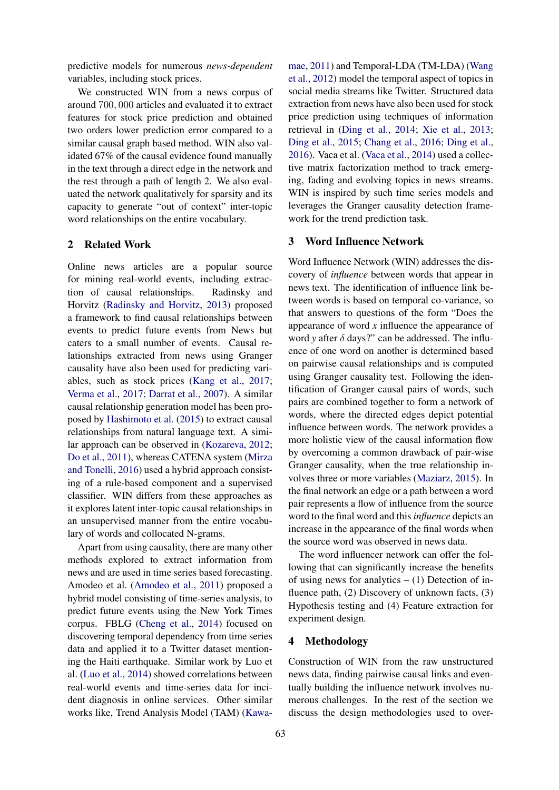predictive models for numerous *news-dependent* variables, including stock prices.

We constructed WIN from a news corpus of around 700, 000 articles and evaluated it to extract features for stock price prediction and obtained two orders lower prediction error compared to a similar causal graph based method. WIN also validated 67% of the causal evidence found manually in the text through a direct edge in the network and the rest through a path of length 2. We also evaluated the network qualitatively for sparsity and its capacity to generate "out of context" inter-topic word relationships on the entire vocabulary.

### 2 Related Work

Online news articles are a popular source for mining real-world events, including extraction of causal relationships. Radinsky and Horvitz [\(Radinsky and Horvitz,](#page-6-3) [2013\)](#page-6-3) proposed a framework to find causal relationships between events to predict future events from News but caters to a small number of events. Causal relationships extracted from news using Granger causality have also been used for predicting variables, such as stock prices [\(Kang et al.,](#page-5-6) [2017;](#page-5-6) [Verma et al.,](#page-6-4) [2017;](#page-6-4) [Darrat et al.,](#page-5-7) [2007\)](#page-5-7). A similar causal relationship generation model has been proposed by [Hashimoto et al.](#page-5-8) [\(2015\)](#page-5-8) to extract causal relationships from natural language text. A similar approach can be observed in [\(Kozareva,](#page-5-9) [2012;](#page-5-9) [Do et al.,](#page-5-10) [2011\)](#page-5-10), whereas CATENA system [\(Mirza](#page-6-5) [and Tonelli,](#page-6-5) [2016\)](#page-6-5) used a hybrid approach consisting of a rule-based component and a supervised classifier. WIN differs from these approaches as it explores latent inter-topic causal relationships in an unsupervised manner from the entire vocabulary of words and collocated N-grams.

Apart from using causality, there are many other methods explored to extract information from news and are used in time series based forecasting. Amodeo et al. [\(Amodeo et al.,](#page-5-11) [2011\)](#page-5-11) proposed a hybrid model consisting of time-series analysis, to predict future events using the New York Times corpus. FBLG [\(Cheng et al.,](#page-5-12) [2014\)](#page-5-12) focused on discovering temporal dependency from time series data and applied it to a Twitter dataset mentioning the Haiti earthquake. Similar work by Luo et al. [\(Luo et al.,](#page-5-13) [2014\)](#page-5-13) showed correlations between real-world events and time-series data for incident diagnosis in online services. Other similar works like, Trend Analysis Model (TAM) [\(Kawa-](#page-5-14)

[mae,](#page-5-14) [2011\)](#page-5-14) and Temporal-LDA (TM-LDA) [\(Wang](#page-6-6) [et al.,](#page-6-6) [2012\)](#page-6-6) model the temporal aspect of topics in social media streams like Twitter. Structured data extraction from news have also been used for stock price prediction using techniques of information retrieval in [\(Ding et al.,](#page-5-15) [2014;](#page-5-15) [Xie et al.,](#page-6-7) [2013;](#page-6-7) [Ding et al.,](#page-5-16) [2015;](#page-5-16) [Chang et al.,](#page-5-17) [2016;](#page-5-17) [Ding et al.,](#page-5-18) [2016\)](#page-5-18). Vaca et al. [\(Vaca et al.,](#page-6-8) [2014\)](#page-6-8) used a collective matrix factorization method to track emerging, fading and evolving topics in news streams. WIN is inspired by such time series models and leverages the Granger causality detection framework for the trend prediction task.

### 3 Word Influence Network

Word Influence Network (WIN) addresses the discovery of *influence* between words that appear in news text. The identification of influence link between words is based on temporal co-variance, so that answers to questions of the form "Does the appearance of word *x* influence the appearance of word *y* after δ days?" can be addressed. The influence of one word on another is determined based on pairwise causal relationships and is computed using Granger causality test. Following the identification of Granger causal pairs of words, such pairs are combined together to form a network of words, where the directed edges depict potential influence between words. The network provides a more holistic view of the causal information flow by overcoming a common drawback of pair-wise Granger causality, when the true relationship involves three or more variables [\(Maziarz,](#page-5-19) [2015\)](#page-5-19). In the final network an edge or a path between a word pair represents a flow of influence from the source word to the final word and this *influence* depicts an increase in the appearance of the final words when the source word was observed in news data.

The word influencer network can offer the following that can significantly increase the benefits of using news for analytics  $- (1)$  Detection of influence path, (2) Discovery of unknown facts, (3) Hypothesis testing and (4) Feature extraction for experiment design.

### 4 Methodology

Construction of WIN from the raw unstructured news data, finding pairwise causal links and eventually building the influence network involves numerous challenges. In the rest of the section we discuss the design methodologies used to over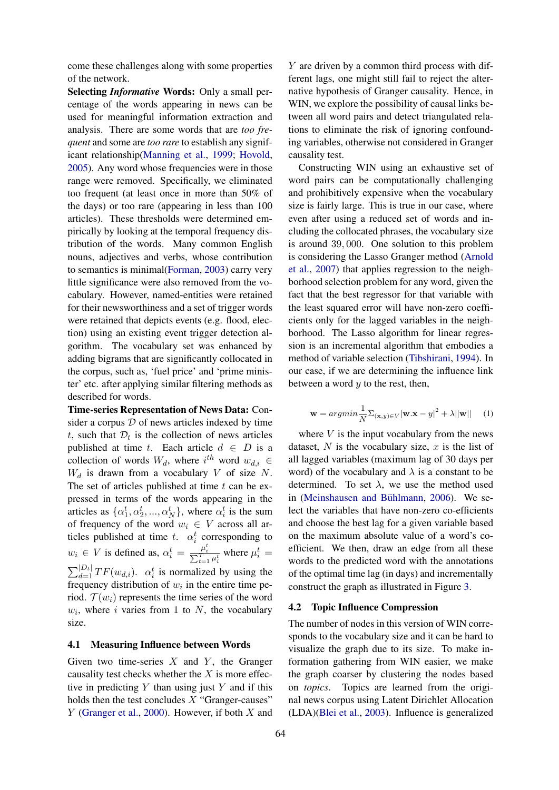come these challenges along with some properties of the network.

Selecting *Informative* Words: Only a small percentage of the words appearing in news can be used for meaningful information extraction and analysis. There are some words that are *too frequent* and some are *too rare* to establish any significant relationship[\(Manning et al.,](#page-5-20) [1999;](#page-5-20) [Hovold,](#page-5-21) [2005\)](#page-5-21). Any word whose frequencies were in those range were removed. Specifically, we eliminated too frequent (at least once in more than 50% of the days) or too rare (appearing in less than 100 articles). These thresholds were determined empirically by looking at the temporal frequency distribution of the words. Many common English nouns, adjectives and verbs, whose contribution to semantics is minimal[\(Forman,](#page-5-22) [2003\)](#page-5-22) carry very little significance were also removed from the vocabulary. However, named-entities were retained for their newsworthiness and a set of trigger words were retained that depicts events (e.g. flood, election) using an existing event trigger detection algorithm. The vocabulary set was enhanced by adding bigrams that are significantly collocated in the corpus, such as, 'fuel price' and 'prime minister' etc. after applying similar filtering methods as described for words.

Time-series Representation of News Data: Consider a corpus  $D$  of news articles indexed by time t, such that  $\mathcal{D}_t$  is the collection of news articles published at time t. Each article  $d \in D$  is a collection of words  $W_d$ , where  $i^{th}$  word  $w_{d,i} \in$  $W_d$  is drawn from a vocabulary V of size N. The set of articles published at time  $t$  can be expressed in terms of the words appearing in the articles as  $\{\alpha_1^t, \alpha_2^t, ..., \alpha_N^t\}$ , where  $\alpha_i^t$  is the sum of frequency of the word  $w_i \in V$  across all articles published at time t.  $\alpha_i^t$  corresponding to  $w_i \in V$  is defined as,  $\alpha_i^t = \frac{\mu_i^t}{\sum_{t=1}^T \mu_i^t}$  where  $\mu_i^t =$  $\sum_{d=1}^{|D_t|} TF(w_{d,i})$ .  $\alpha_i^t$  is normalized by using the frequency distribution of  $w_i$  in the entire time period.  $\mathcal{T}(w_i)$  represents the time series of the word  $w_i$ , where i varies from 1 to N, the vocabulary size.

#### 4.1 Measuring Influence between Words

Given two time-series  $X$  and  $Y$ , the Granger causality test checks whether the  $X$  is more effective in predicting  $Y$  than using just  $Y$  and if this holds then the test concludes  $X$  "Granger-causes" Y [\(Granger et al.,](#page-5-23) [2000\)](#page-5-23). However, if both X and

Y are driven by a common third process with different lags, one might still fail to reject the alternative hypothesis of Granger causality. Hence, in WIN, we explore the possibility of causal links between all word pairs and detect triangulated relations to eliminate the risk of ignoring confounding variables, otherwise not considered in Granger causality test.

Constructing WIN using an exhaustive set of word pairs can be computationally challenging and prohibitively expensive when the vocabulary size is fairly large. This is true in our case, where even after using a reduced set of words and including the collocated phrases, the vocabulary size is around 39, 000. One solution to this problem is considering the Lasso Granger method [\(Arnold](#page-5-24) [et al.,](#page-5-24) [2007\)](#page-5-24) that applies regression to the neighborhood selection problem for any word, given the fact that the best regressor for that variable with the least squared error will have non-zero coefficients only for the lagged variables in the neighborhood. The Lasso algorithm for linear regression is an incremental algorithm that embodies a method of variable selection [\(Tibshirani,](#page-6-9) [1994\)](#page-6-9). In our case, if we are determining the influence link between a word  $y$  to the rest, then,

$$
\mathbf{w} = argmin \frac{1}{N} \sum_{(\mathbf{x}, y) \in V} |\mathbf{w} \cdot \mathbf{x} - y|^2 + \lambda ||\mathbf{w}|| \quad (1)
$$

where  $V$  is the input vocabulary from the news dataset,  $N$  is the vocabulary size,  $x$  is the list of all lagged variables (maximum lag of 30 days per word) of the vocabulary and  $\lambda$  is a constant to be determined. To set  $\lambda$ , we use the method used in (Meinshausen and Bühlmann, [2006\)](#page-6-10). We select the variables that have non-zero co-efficients and choose the best lag for a given variable based on the maximum absolute value of a word's coefficient. We then, draw an edge from all these words to the predicted word with the annotations of the optimal time lag (in days) and incrementally construct the graph as illustrated in Figure [3.](#page-4-0)

#### 4.2 Topic Influence Compression

The number of nodes in this version of WIN corresponds to the vocabulary size and it can be hard to visualize the graph due to its size. To make information gathering from WIN easier, we make the graph coarser by clustering the nodes based on *topics*. Topics are learned from the original news corpus using Latent Dirichlet Allocation (LDA)[\(Blei et al.,](#page-5-25) [2003\)](#page-5-25). Influence is generalized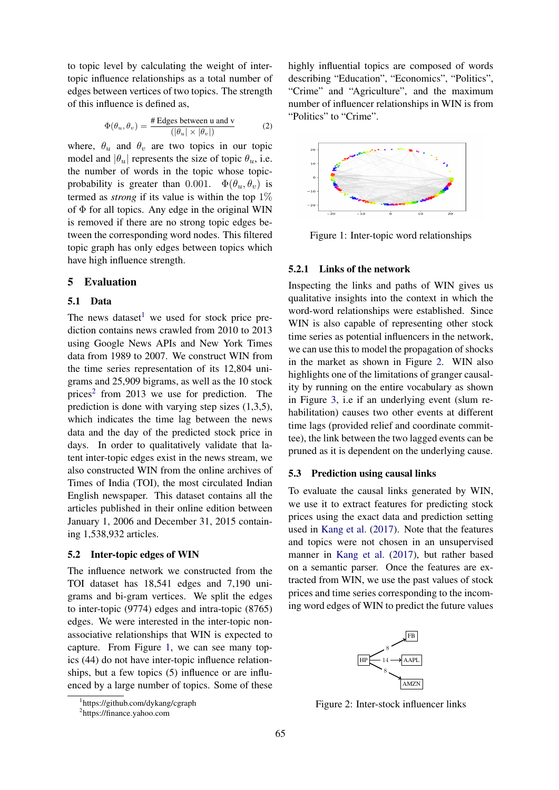to topic level by calculating the weight of intertopic influence relationships as a total number of edges between vertices of two topics. The strength of this influence is defined as,

$$
\Phi(\theta_u, \theta_v) = \frac{\text{\# Edges between u and v}}{(|\theta_u| \times |\theta_v|)}
$$
(2)

where,  $\theta_u$  and  $\theta_v$  are two topics in our topic model and  $|\theta_u|$  represents the size of topic  $\theta_u$ , i.e. the number of words in the topic whose topicprobability is greater than 0.001.  $\Phi(\theta_u, \theta_v)$  is termed as *strong* if its value is within the top 1% of  $\Phi$  for all topics. Any edge in the original WIN is removed if there are no strong topic edges between the corresponding word nodes. This filtered topic graph has only edges between topics which have high influence strength.

### 5 Evaluation

#### 5.1 Data

The news dataset<sup>[1](#page-3-0)</sup> we used for stock price prediction contains news crawled from 2010 to 2013 using Google News APIs and New York Times data from 1989 to 2007. We construct WIN from the time series representation of its 12,804 unigrams and 25,909 bigrams, as well as the 10 stock prices<sup>[2](#page-3-1)</sup> from 2013 we use for prediction. The prediction is done with varying step sizes (1,3,5), which indicates the time lag between the news data and the day of the predicted stock price in days. In order to qualitatively validate that latent inter-topic edges exist in the news stream, we also constructed WIN from the online archives of Times of India (TOI), the most circulated Indian English newspaper. This dataset contains all the articles published in their online edition between January 1, 2006 and December 31, 2015 containing 1,538,932 articles.

#### 5.2 Inter-topic edges of WIN

The influence network we constructed from the TOI dataset has 18,541 edges and 7,190 unigrams and bi-gram vertices. We split the edges to inter-topic (9774) edges and intra-topic (8765) edges. We were interested in the inter-topic nonassociative relationships that WIN is expected to capture. From Figure [1,](#page-3-2) we can see many topics (44) do not have inter-topic influence relationships, but a few topics (5) influence or are influenced by a large number of topics. Some of these highly influential topics are composed of words describing "Education", "Economics", "Politics", "Crime" and "Agriculture", and the maximum number of influencer relationships in WIN is from "Politics" to "Crime".

<span id="page-3-2"></span>

Figure 1: Inter-topic word relationships

## 5.2.1 Links of the network

Inspecting the links and paths of WIN gives us qualitative insights into the context in which the word-word relationships were established. Since WIN is also capable of representing other stock time series as potential influencers in the network, we can use this to model the propagation of shocks in the market as shown in Figure [2.](#page-3-3) WIN also highlights one of the limitations of granger causality by running on the entire vocabulary as shown in Figure [3,](#page-4-0) i.e if an underlying event (slum rehabilitation) causes two other events at different time lags (provided relief and coordinate committee), the link between the two lagged events can be pruned as it is dependent on the underlying cause.

### 5.3 Prediction using causal links

To evaluate the causal links generated by WIN, we use it to extract features for predicting stock prices using the exact data and prediction setting used in [Kang et al.](#page-5-6) [\(2017\)](#page-5-6). Note that the features and topics were not chosen in an unsupervised manner in [Kang et al.](#page-5-6) [\(2017\)](#page-5-6), but rather based on a semantic parser. Once the features are extracted from WIN, we use the past values of stock prices and time series corresponding to the incoming word edges of WIN to predict the future values

<span id="page-3-3"></span>

Figure 2: Inter-stock influencer links

<span id="page-3-0"></span><sup>1</sup> https://github.com/dykang/cgraph

<span id="page-3-1"></span><sup>2</sup> https://finance.yahoo.com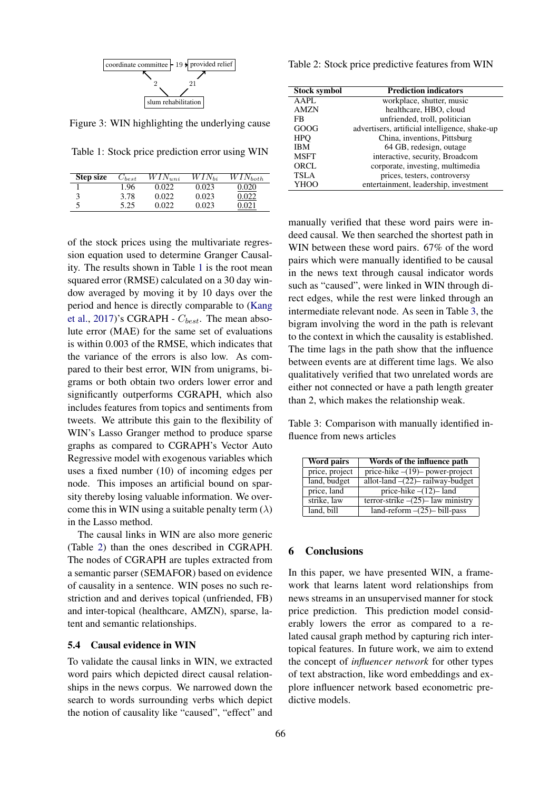<span id="page-4-0"></span>

Figure 3: WIN highlighting the underlying cause

<span id="page-4-1"></span>Table 1: Stock price prediction error using WIN

| <b>Step size</b> | $C_{best}$ | $WIN_{uni}$ | $WIN_{bi}$ | $WIN_{both}$ |
|------------------|------------|-------------|------------|--------------|
|                  | 1.96       | 0.022       | 0.023      | 0.020        |
| 3                | 3.78       | 0.022       | 0.023      | 0.022        |
|                  | 5.25       | 0.022       | 0.023      |              |

of the stock prices using the multivariate regression equation used to determine Granger Causality. The results shown in Table [1](#page-4-1) is the root mean squared error (RMSE) calculated on a 30 day window averaged by moving it by 10 days over the period and hence is directly comparable to [\(Kang](#page-5-6) [et al.,](#page-5-6) [2017\)](#page-5-6)'s CGRAPH -  $C_{best}$ . The mean absolute error (MAE) for the same set of evaluations is within 0.003 of the RMSE, which indicates that the variance of the errors is also low. As compared to their best error, WIN from unigrams, bigrams or both obtain two orders lower error and significantly outperforms CGRAPH, which also includes features from topics and sentiments from tweets. We attribute this gain to the flexibility of WIN's Lasso Granger method to produce sparse graphs as compared to CGRAPH's Vector Auto Regressive model with exogenous variables which uses a fixed number (10) of incoming edges per node. This imposes an artificial bound on sparsity thereby losing valuable information. We overcome this in WIN using a suitable penalty term  $(\lambda)$ in the Lasso method.

The causal links in WIN are also more generic (Table [2\)](#page-4-2) than the ones described in CGRAPH. The nodes of CGRAPH are tuples extracted from a semantic parser (SEMAFOR) based on evidence of causality in a sentence. WIN poses no such restriction and and derives topical (unfriended, FB) and inter-topical (healthcare, AMZN), sparse, latent and semantic relationships.

#### 5.4 Causal evidence in WIN

To validate the causal links in WIN, we extracted word pairs which depicted direct causal relationships in the news corpus. We narrowed down the search to words surrounding verbs which depict the notion of causality like "caused", "effect" and

<span id="page-4-2"></span>Table 2: Stock price predictive features from WIN

| <b>Stock symbol</b> | <b>Prediction indicators</b>                   |  |
|---------------------|------------------------------------------------|--|
| AAPL                | workplace, shutter, music                      |  |
| <b>AMZN</b>         | healthcare, HBO, cloud                         |  |
| FB                  | unfriended, troll, politician                  |  |
| GOOG                | advertisers, artificial intelligence, shake-up |  |
| <b>HPO</b>          | China, inventions, Pittsburg                   |  |
| <b>IBM</b>          | 64 GB, redesign, outage                        |  |
| <b>MSFT</b>         | interactive, security, Broadcom                |  |
| ORCL                | corporate, investing, multimedia               |  |
| <b>TSLA</b>         | prices, testers, controversy                   |  |
| <b>YHOO</b>         | entertainment, leadership, investment          |  |

manually verified that these word pairs were indeed causal. We then searched the shortest path in WIN between these word pairs. 67% of the word pairs which were manually identified to be causal in the news text through causal indicator words such as "caused", were linked in WIN through direct edges, while the rest were linked through an intermediate relevant node. As seen in Table [3,](#page-4-3) the bigram involving the word in the path is relevant to the context in which the causality is established. The time lags in the path show that the influence between events are at different time lags. We also qualitatively verified that two unrelated words are either not connected or have a path length greater than 2, which makes the relationship weak.

<span id="page-4-3"></span>Table 3: Comparison with manually identified influence from news articles

| Word pairs     | Words of the influence path          |
|----------------|--------------------------------------|
| price, project | price-hike $-(19)$ power-project     |
| land, budget   | allot-land $-(22)$ railway-budget    |
| price, land    | price-hike $-(12)$ - land            |
| strike, law    | terror-strike $-(25)$ - law ministry |
| land, bill     | $land-reform$ –(25)– bill-pass       |

### 6 Conclusions

In this paper, we have presented WIN, a framework that learns latent word relationships from news streams in an unsupervised manner for stock price prediction. This prediction model considerably lowers the error as compared to a related causal graph method by capturing rich intertopical features. In future work, we aim to extend the concept of *influencer network* for other types of text abstraction, like word embeddings and explore influencer network based econometric predictive models.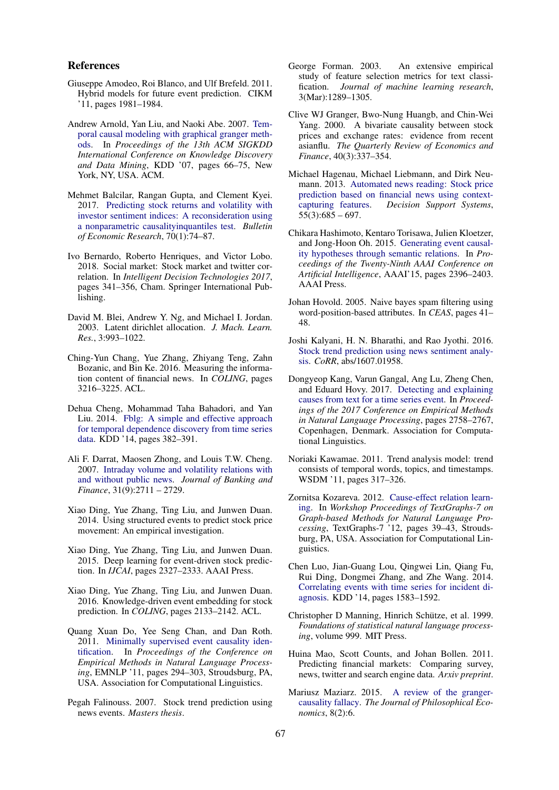#### References

- <span id="page-5-11"></span>Giuseppe Amodeo, Roi Blanco, and Ulf Brefeld. 2011. Hybrid models for future event prediction. CIKM '11, pages 1981–1984.
- <span id="page-5-24"></span>Andrew Arnold, Yan Liu, and Naoki Abe. 2007. [Tem](https://doi.org/10.1145/1281192.1281203)[poral causal modeling with graphical granger meth](https://doi.org/10.1145/1281192.1281203)[ods.](https://doi.org/10.1145/1281192.1281203) In *Proceedings of the 13th ACM SIGKDD International Conference on Knowledge Discovery and Data Mining*, KDD '07, pages 66–75, New York, NY, USA. ACM.
- <span id="page-5-5"></span>Mehmet Balcilar, Rangan Gupta, and Clement Kyei. 2017. [Predicting stock returns and volatility with](https://doi.org/10.1111/boer.12119) [investor sentiment indices: A reconsideration using](https://doi.org/10.1111/boer.12119) [a nonparametric causalityinquantiles test.](https://doi.org/10.1111/boer.12119) *Bulletin of Economic Research*, 70(1):74–87.
- <span id="page-5-4"></span>Ivo Bernardo, Roberto Henriques, and Victor Lobo. 2018. Social market: Stock market and twitter correlation. In *Intelligent Decision Technologies 2017*, pages 341–356, Cham. Springer International Publishing.
- <span id="page-5-25"></span>David M. Blei, Andrew Y. Ng, and Michael I. Jordan. 2003. Latent dirichlet allocation. *J. Mach. Learn. Res.*, 3:993–1022.
- <span id="page-5-17"></span>Ching-Yun Chang, Yue Zhang, Zhiyang Teng, Zahn Bozanic, and Bin Ke. 2016. Measuring the information content of financial news. In *COLING*, pages 3216–3225. ACL.
- <span id="page-5-12"></span>Dehua Cheng, Mohammad Taha Bahadori, and Yan Liu. 2014. [Fblg: A simple and effective approach](https://doi.org/10.1145/2623330.2623709) [for temporal dependence discovery from time series](https://doi.org/10.1145/2623330.2623709) [data.](https://doi.org/10.1145/2623330.2623709) KDD '14, pages 382–391.
- <span id="page-5-7"></span>Ali F. Darrat, Maosen Zhong, and Louis T.W. Cheng. 2007. [Intraday volume and volatility relations with](https://doi.org/https://doi.org/10.1016/j.jbankfin.2006.11.019) [and without public news.](https://doi.org/https://doi.org/10.1016/j.jbankfin.2006.11.019) *Journal of Banking and Finance*, 31(9):2711 – 2729.
- <span id="page-5-15"></span>Xiao Ding, Yue Zhang, Ting Liu, and Junwen Duan. 2014. Using structured events to predict stock price movement: An empirical investigation.
- <span id="page-5-16"></span>Xiao Ding, Yue Zhang, Ting Liu, and Junwen Duan. 2015. Deep learning for event-driven stock prediction. In *IJCAI*, pages 2327–2333. AAAI Press.
- <span id="page-5-18"></span>Xiao Ding, Yue Zhang, Ting Liu, and Junwen Duan. 2016. Knowledge-driven event embedding for stock prediction. In *COLING*, pages 2133–2142. ACL.
- <span id="page-5-10"></span>Quang Xuan Do, Yee Seng Chan, and Dan Roth. 2011. [Minimally supervised event causality iden](http://dl.acm.org/citation.cfm?id=2145432.2145466)[tification.](http://dl.acm.org/citation.cfm?id=2145432.2145466) In *Proceedings of the Conference on Empirical Methods in Natural Language Processing*, EMNLP '11, pages 294–303, Stroudsburg, PA, USA. Association for Computational Linguistics.
- <span id="page-5-0"></span>Pegah Falinouss. 2007. Stock trend prediction using news events. *Masters thesis*.
- <span id="page-5-22"></span>George Forman. 2003. An extensive empirical study of feature selection metrics for text classification. *Journal of machine learning research*, 3(Mar):1289–1305.
- <span id="page-5-23"></span>Clive WJ Granger, Bwo-Nung Huangb, and Chin-Wei Yang. 2000. A bivariate causality between stock prices and exchange rates: evidence from recent asianflu. *The Quarterly Review of Economics and Finance*, 40(3):337–354.
- <span id="page-5-2"></span>Michael Hagenau, Michael Liebmann, and Dirk Neumann. 2013. [Automated news reading: Stock price](https://doi.org/https://doi.org/10.1016/j.dss.2013.02.006) [prediction based on financial news using context](https://doi.org/https://doi.org/10.1016/j.dss.2013.02.006)[capturing features.](https://doi.org/https://doi.org/10.1016/j.dss.2013.02.006) *Decision Support Systems*,  $55(3):685 - 697.$
- <span id="page-5-8"></span>Chikara Hashimoto, Kentaro Torisawa, Julien Kloetzer, and Jong-Hoon Oh. 2015. [Generating event causal](http://dl.acm.org/citation.cfm?id=2886521.2886654)[ity hypotheses through semantic relations.](http://dl.acm.org/citation.cfm?id=2886521.2886654) In *Proceedings of the Twenty-Ninth AAAI Conference on Artificial Intelligence*, AAAI'15, pages 2396–2403. AAAI Press.
- <span id="page-5-21"></span>Johan Hovold. 2005. Naive bayes spam filtering using word-position-based attributes. In *CEAS*, pages 41– 48.
- <span id="page-5-1"></span>Joshi Kalyani, H. N. Bharathi, and Rao Jyothi. 2016. [Stock trend prediction using news sentiment analy](http://arxiv.org/abs/1607.01958)[sis.](http://arxiv.org/abs/1607.01958) *CoRR*, abs/1607.01958.
- <span id="page-5-6"></span>Dongyeop Kang, Varun Gangal, Ang Lu, Zheng Chen, and Eduard Hovy. 2017. [Detecting and explaining](https://www.aclweb.org/anthology/D17-1292) [causes from text for a time series event.](https://www.aclweb.org/anthology/D17-1292) In *Proceedings of the 2017 Conference on Empirical Methods in Natural Language Processing*, pages 2758–2767, Copenhagen, Denmark. Association for Computational Linguistics.
- <span id="page-5-14"></span>Noriaki Kawamae. 2011. Trend analysis model: trend consists of temporal words, topics, and timestamps. WSDM '11, pages 317–326.
- <span id="page-5-9"></span>Zornitsa Kozareva. 2012. [Cause-effect relation learn](http://dl.acm.org/citation.cfm?id=2392954.2392961)[ing.](http://dl.acm.org/citation.cfm?id=2392954.2392961) In *Workshop Proceedings of TextGraphs-7 on Graph-based Methods for Natural Language Processing*, TextGraphs-7 '12, pages 39–43, Stroudsburg, PA, USA. Association for Computational Linguistics.
- <span id="page-5-13"></span>Chen Luo, Jian-Guang Lou, Qingwei Lin, Qiang Fu, Rui Ding, Dongmei Zhang, and Zhe Wang. 2014. [Correlating events with time series for incident di](https://doi.org/10.1145/2623330.2623374)[agnosis.](https://doi.org/10.1145/2623330.2623374) KDD '14, pages 1583–1592.
- <span id="page-5-20"></span>Christopher D Manning, Hinrich Schütze, et al. 1999. *Foundations of statistical natural language processing*, volume 999. MIT Press.
- <span id="page-5-3"></span>Huina Mao, Scott Counts, and Johan Bollen. 2011. Predicting financial markets: Comparing survey, news, twitter and search engine data. *Arxiv preprint*.
- <span id="page-5-19"></span>Mariusz Maziarz. 2015. [A review of the granger](https://EconPapers.repec.org/RePEc:bus:jphile:v:8:y:2015:i:2:n:6)[causality fallacy.](https://EconPapers.repec.org/RePEc:bus:jphile:v:8:y:2015:i:2:n:6) *The Journal of Philosophical Economics*, 8(2):6.